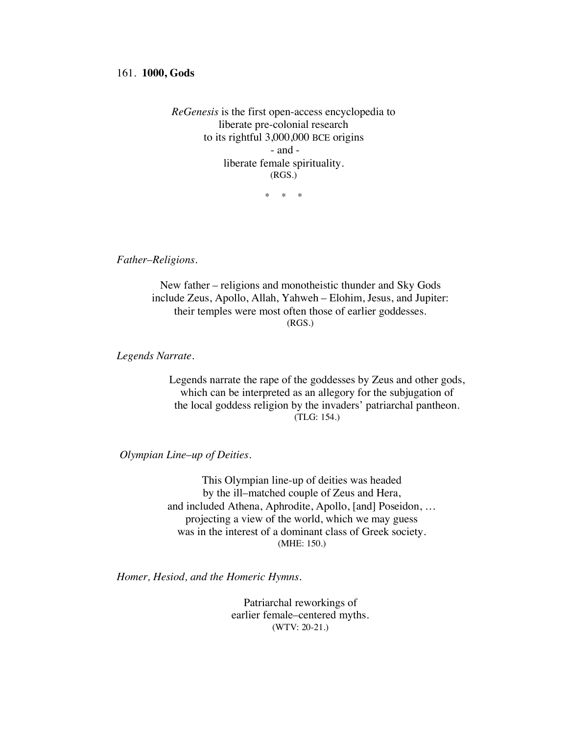## 161. **1000, Gods**

*ReGenesis* is the first open-access encyclopedia to liberate pre-colonial research to its rightful 3,000,000 BCE origins - and liberate female spirituality. (RGS.)

\* \* \*

*Father*–*Religions.*

New father – religions and monotheistic thunder and Sky Gods include Zeus, Apollo, Allah, Yahweh – Elohim, Jesus, and Jupiter: their temples were most often those of earlier goddesses. (RGS.)

*Legends Narrate.*

Legends narrate the rape of the goddesses by Zeus and other gods, which can be interpreted as an allegory for the subjugation of the local goddess religion by the invaders' patriarchal pantheon. (TLG: 154.)

*Olympian Line*–*up of Deities.*

This Olympian line-up of deities was headed by the ill–matched couple of Zeus and Hera, and included Athena, Aphrodite, Apollo, [and] Poseidon, … projecting a view of the world, which we may guess was in the interest of a dominant class of Greek society. (MHE: 150.)

*Homer, Hesiod, and the Homeric Hymns.*

Patriarchal reworkings of earlier female–centered myths. (WTV: 20-21.)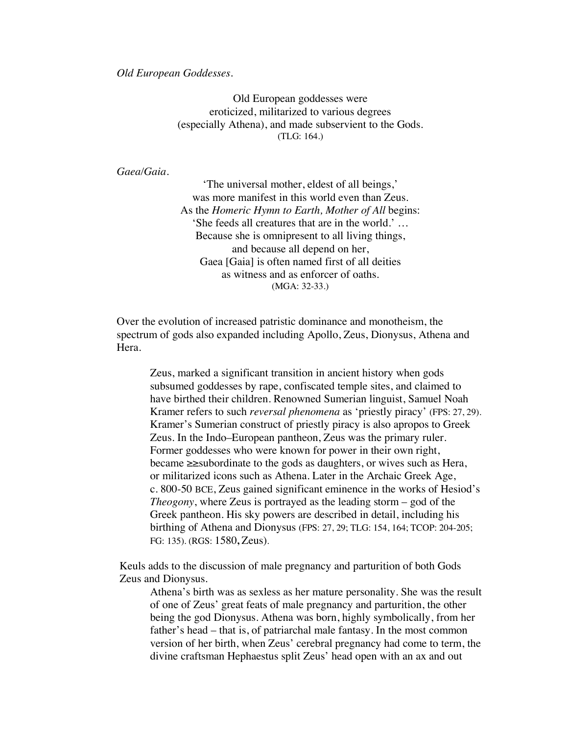*Old European Goddesses.*

Old European goddesses were eroticized, militarized to various degrees (especially Athena), and made subservient to the Gods. (TLG: 164.)

*Gaea/Gaia.*

'The universal mother, eldest of all beings,' was more manifest in this world even than Zeus. As the *Homeric Hymn to Earth, Mother of All* begins: 'She feeds all creatures that are in the world.' … Because she is omnipresent to all living things, and because all depend on her, Gaea [Gaia] is often named first of all deities as witness and as enforcer of oaths. (MGA: 32-33.)

Over the evolution of increased patristic dominance and monotheism, the spectrum of gods also expanded including Apollo, Zeus, Dionysus, Athena and Hera.

Zeus, marked a significant transition in ancient history when gods subsumed goddesses by rape, confiscated temple sites, and claimed to have birthed their children. Renowned Sumerian linguist, Samuel Noah Kramer refers to such *reversal phenomena* as 'priestly piracy' (FPS: 27, 29). Kramer's Sumerian construct of priestly piracy is also apropos to Greek Zeus. In the Indo–European pantheon, Zeus was the primary ruler. Former goddesses who were known for power in their own right, became ≥≥subordinate to the gods as daughters, or wives such as Hera, or militarized icons such as Athena. Later in the Archaic Greek Age, c. 800-50 BCE, Zeus gained significant eminence in the works of Hesiod's *Theogony*, where Zeus is portrayed as the leading storm – god of the Greek pantheon. His sky powers are described in detail, including his birthing of Athena and Dionysus (FPS: 27, 29; TLG: 154, 164; TCOP: 204-205; FG: 135). (RGS: 1580**,** Zeus).

Keuls adds to the discussion of male pregnancy and parturition of both Gods Zeus and Dionysus.

Athena's birth was as sexless as her mature personality. She was the result of one of Zeus' great feats of male pregnancy and parturition, the other being the god Dionysus. Athena was born, highly symbolically, from her father's head – that is, of patriarchal male fantasy. In the most common version of her birth, when Zeus' cerebral pregnancy had come to term, the divine craftsman Hephaestus split Zeus' head open with an ax and out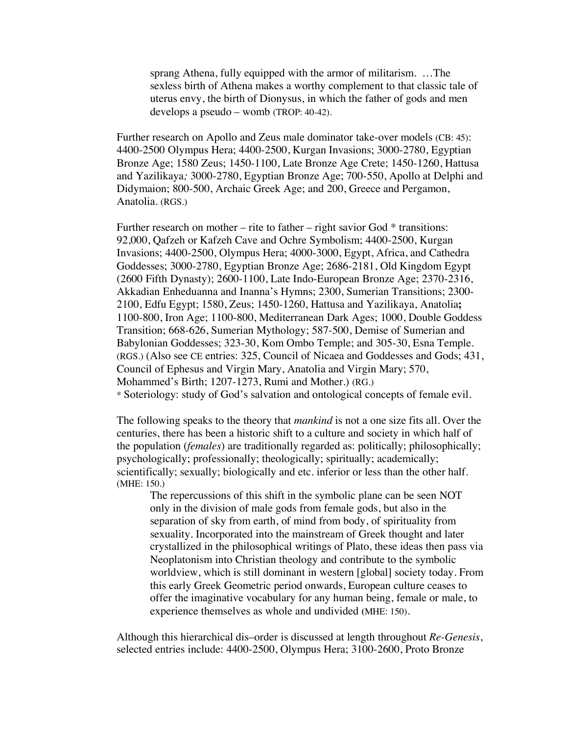sprang Athena, fully equipped with the armor of militarism. …The sexless birth of Athena makes a worthy complement to that classic tale of uterus envy, the birth of Dionysus, in which the father of gods and men develops a pseudo – womb (TROP: 40-42).

Further research on Apollo and Zeus male dominator take-over models (CB: 45): 4400-2500 Olympus Hera; 4400-2500, Kurgan Invasions; 3000-2780, Egyptian Bronze Age; 1580 Zeus; 1450-1100, Late Bronze Age Crete; 1450-1260, Hattusa and Yazilikaya*;* 3000-2780, Egyptian Bronze Age; 700-550, Apollo at Delphi and Didymaion; 800-500, Archaic Greek Age; and 200, Greece and Pergamon, Anatolia. (RGS.)

Further research on mother – rite to father – right savior God  $*$  transitions: 92,000, Qafzeh or Kafzeh Cave and Ochre Symbolism; 4400-2500, Kurgan Invasions; 4400-2500, Olympus Hera; 4000-3000, Egypt, Africa, and Cathedra Goddesses; 3000-2780, Egyptian Bronze Age; 2686-2181, Old Kingdom Egypt (2600 Fifth Dynasty); 2600-1100, Late Indo-European Bronze Age; 2370-2316, Akkadian Enheduanna and Inanna's Hymns; 2300, Sumerian Transitions; 2300- 2100, Edfu Egypt; 1580, Zeus; 1450-1260, Hattusa and Yazilikaya, Anatolia**;**  1100-800, Iron Age; 1100-800, Mediterranean Dark Ages; 1000, Double Goddess Transition; 668-626, Sumerian Mythology; 587-500, Demise of Sumerian and Babylonian Goddesses; 323-30, Kom Ombo Temple; and 305-30, Esna Temple. (RGS.) (Also see CE entries: 325, Council of Nicaea and Goddesses and Gods; 431, Council of Ephesus and Virgin Mary, Anatolia and Virgin Mary; 570, Mohammed's Birth; 1207-1273, Rumi and Mother.) (RG.) \* Soteriology: study of God's salvation and ontological concepts of female evil.

The following speaks to the theory that *mankind* is not a one size fits all. Over the centuries, there has been a historic shift to a culture and society in which half of the population (*females*) are traditionally regarded as: politically; philosophically; psychologically; professionally; theologically; spiritually; academically; scientifically; sexually; biologically and etc. inferior or less than the other half. (MHE: 150.)

The repercussions of this shift in the symbolic plane can be seen NOT only in the division of male gods from female gods, but also in the separation of sky from earth, of mind from body, of spirituality from sexuality. Incorporated into the mainstream of Greek thought and later crystallized in the philosophical writings of Plato, these ideas then pass via Neoplatonism into Christian theology and contribute to the symbolic worldview, which is still dominant in western [global] society today. From this early Greek Geometric period onwards, European culture ceases to offer the imaginative vocabulary for any human being, female or male, to experience themselves as whole and undivided **(**MHE: 150).

Although this hierarchical dis–order is discussed at length throughout *Re-Genesis*, selected entries include: 4400-2500, Olympus Hera; 3100-2600, Proto Bronze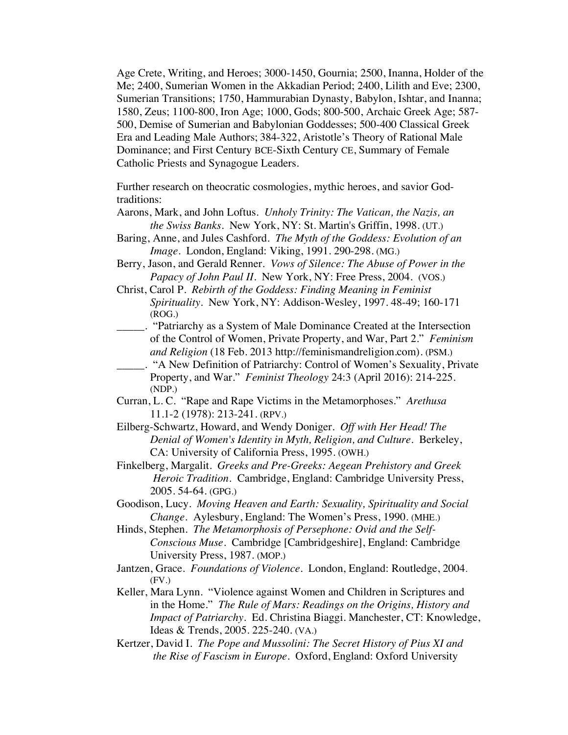Age Crete, Writing, and Heroes; 3000-1450, Gournia; 2500, Inanna, Holder of the Me; 2400, Sumerian Women in the Akkadian Period; 2400, Lilith and Eve; 2300, Sumerian Transitions; 1750, Hammurabian Dynasty, Babylon, Ishtar, and Inanna; 1580, Zeus; 1100-800, Iron Age; 1000, Gods; 800-500, Archaic Greek Age; 587- 500, Demise of Sumerian and Babylonian Goddesses; 500-400 Classical Greek Era and Leading Male Authors; 384-322, Aristotle's Theory of Rational Male Dominance; and First Century BCE-Sixth Century CE, Summary of Female Catholic Priests and Synagogue Leaders.

Further research on theocratic cosmologies, mythic heroes, and savior Godtraditions:

- Aarons, Mark, and John Loftus. *Unholy Trinity: The Vatican, the Nazis, an the Swiss Banks*. New York, NY: St. Martin's Griffin, 1998. (UT.)
- Baring, Anne, and Jules Cashford. *The Myth of the Goddess: Evolution of an Image*. London, England: Viking, 1991. 290-298. (MG.)
- Berry, Jason, and Gerald Renner. *Vows of Silence: The Abuse of Power in the Papacy of John Paul II*. New York, NY: Free Press, 2004. (VOS.)
- Christ, Carol P. *Rebirth of the Goddess: Finding Meaning in Feminist Spirituality*. New York, NY: Addison-Wesley, 1997. 48-49; 160-171 (ROG.)
- \_\_\_\_\_. "Patriarchy as a System of Male Dominance Created at the Intersection of the Control of Women, Private Property, and War, Part 2." *Feminism and Religion* (18 Feb. 2013 http://feminismandreligion.com). (PSM.)
- \_\_\_\_\_. "A New Definition of Patriarchy: Control of Women's Sexuality, Private Property, and War." *Feminist Theology* 24:3 (April 2016): 214-225. (NDP.)
- Curran, L. C. "Rape and Rape Victims in the Metamorphoses." *Arethusa* 11.1-2 (1978): 213-241. (RPV.)
- Eilberg-Schwartz, Howard, and Wendy Doniger. *Off with Her Head! The Denial of Women's Identity in Myth, Religion, and Culture*. Berkeley, CA: University of California Press, 1995. (OWH.)
- Finkelberg, Margalit. *Greeks and Pre-Greeks: Aegean Prehistory and Greek Heroic Tradition.* Cambridge, England: Cambridge University Press, 2005. 54-64. (GPG.)
- Goodison, Lucy. *Moving Heaven and Earth: Sexuality, Spirituality and Social Change.* Aylesbury, England: The Women's Press, 1990. (MHE.)
- Hinds, Stephen. *The Metamorphosis of Persephone: Ovid and the Self-Conscious Muse*. Cambridge [Cambridgeshire], England: Cambridge University Press, 1987. (MOP.)
- Jantzen, Grace. *Foundations of Violence*. London, England: Routledge, 2004. (FV.)
- Keller, Mara Lynn. "Violence against Women and Children in Scriptures and in the Home." *The Rule of Mars: Readings on the Origins, History and Impact of Patriarchy.* Ed. Christina Biaggi. Manchester, CT: Knowledge, Ideas & Trends, 2005. 225-240. (VA.)
- Kertzer, David I. *The Pope and Mussolini: The Secret History of Pius XI and the Rise of Fascism in Europe.* Oxford, England: Oxford University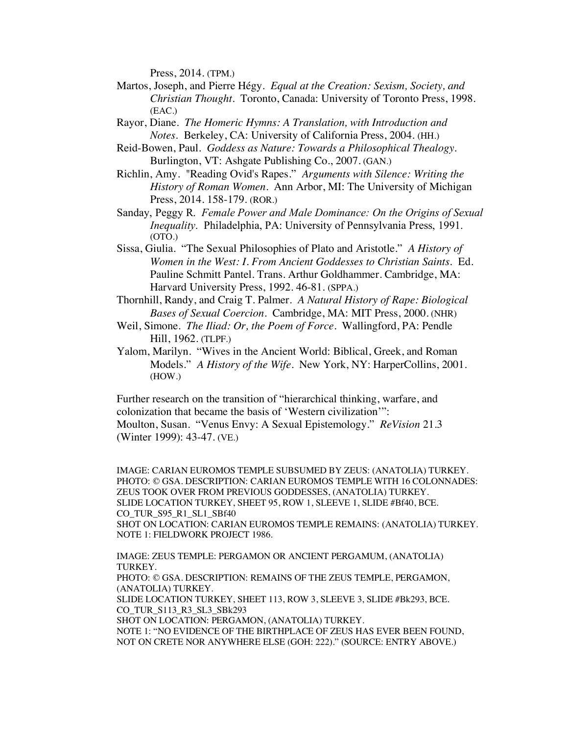Press, 2014. (TPM.)

- Martos, Joseph, and Pierre Hégy. *Equal at the Creation: Sexism, Society, and Christian Thought*. Toronto, Canada: University of Toronto Press, 1998. (EAC.)
- Rayor, Diane. *The Homeric Hymns: A Translation, with Introduction and Notes.* Berkeley, CA: University of California Press, 2004. (HH.)
- Reid-Bowen, Paul. *Goddess as Nature: Towards a Philosophical Thealogy.* Burlington, VT: Ashgate Publishing Co., 2007. (GAN.)
- Richlin, Amy. "Reading Ovid's Rapes." *Arguments with Silence: Writing the History of Roman Women*. Ann Arbor, MI: The University of Michigan Press, 2014. 158-179. (ROR.)
- Sanday, Peggy R. *Female Power and Male Dominance: On the Origins of Sexual Inequality*. Philadelphia, PA: University of Pennsylvania Press, 1991. (OTO.)
- Sissa, Giulia. "The Sexual Philosophies of Plato and Aristotle." *A History of Women in the West: I. From Ancient Goddesses to Christian Saints.* Ed. Pauline Schmitt Pantel. Trans. Arthur Goldhammer. Cambridge, MA: Harvard University Press, 1992. 46-81. (SPPA.)
- Thornhill, Randy, and Craig T. Palmer. *A Natural History of Rape: Biological Bases of Sexual Coercion*. Cambridge, MA: MIT Press, 2000. (NHR)
- Weil, Simone. *The Iliad: Or, the Poem of Force*. Wallingford, PA: Pendle Hill, 1962. (TLPF.)
- Yalom, Marilyn. "Wives in the Ancient World: Biblical, Greek, and Roman Models." *A History of the Wife*. New York, NY: HarperCollins, 2001. (HOW.)

Further research on the transition of "hierarchical thinking, warfare, and colonization that became the basis of 'Western civilization'": Moulton, Susan. "Venus Envy: A Sexual Epistemology." *ReVision* 21.3 (Winter 1999): 43-47. (VE.)

IMAGE: CARIAN EUROMOS TEMPLE SUBSUMED BY ZEUS: (ANATOLIA) TURKEY. PHOTO: © GSA. DESCRIPTION: CARIAN EUROMOS TEMPLE WITH 16 COLONNADES: ZEUS TOOK OVER FROM PREVIOUS GODDESSES, (ANATOLIA) TURKEY. SLIDE LOCATION TURKEY, SHEET 95, ROW 1, SLEEVE 1, SLIDE #Bf40, BCE. CO\_TUR\_S95\_R1\_SL1\_SBf40 SHOT ON LOCATION: CARIAN EUROMOS TEMPLE REMAINS: (ANATOLIA) TURKEY. NOTE 1: FIELDWORK PROJECT 1986.

IMAGE: ZEUS TEMPLE: PERGAMON OR ANCIENT PERGAMUM, (ANATOLIA) TURKEY. PHOTO: © GSA. DESCRIPTION: REMAINS OF THE ZEUS TEMPLE, PERGAMON, (ANATOLIA) TURKEY. SLIDE LOCATION TURKEY, SHEET 113, ROW 3, SLEEVE 3, SLIDE #Bk293, BCE. CO\_TUR\_S113\_R3\_SL3\_SBk293 SHOT ON LOCATION: PERGAMON, (ANATOLIA) TURKEY. NOTE 1: "NO EVIDENCE OF THE BIRTHPLACE OF ZEUS HAS EVER BEEN FOUND, NOT ON CRETE NOR ANYWHERE ELSE (GOH: 222)." (SOURCE: ENTRY ABOVE.)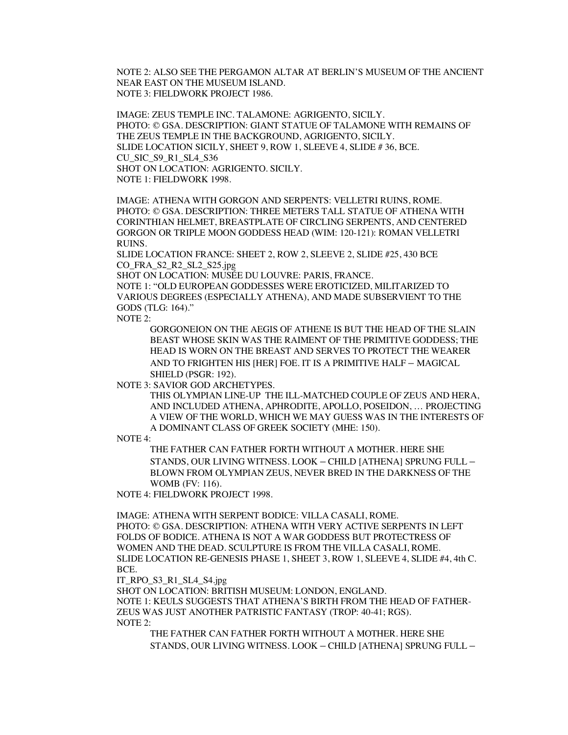NOTE 2: ALSO SEE THE PERGAMON ALTAR AT BERLIN'S MUSEUM OF THE ANCIENT NEAR EAST ON THE MUSEUM ISLAND. NOTE 3: FIELDWORK PROJECT 1986.

IMAGE: ZEUS TEMPLE INC. TALAMONE: AGRIGENTO, SICILY. PHOTO: © GSA. DESCRIPTION: GIANT STATUE OF TALAMONE WITH REMAINS OF THE ZEUS TEMPLE IN THE BACKGROUND, AGRIGENTO, SICILY. SLIDE LOCATION SICILY, SHEET 9, ROW 1, SLEEVE 4, SLIDE # 36, BCE. CU\_SIC\_S9\_R1\_SL4\_S36 SHOT ON LOCATION: AGRIGENTO. SICILY. NOTE 1: FIELDWORK 1998.

IMAGE: ATHENA WITH GORGON AND SERPENTS: VELLETRI RUINS, ROME. PHOTO: © GSA. DESCRIPTION: THREE METERS TALL STATUE OF ATHENA WITH CORINTHIAN HELMET, BREASTPLATE OF CIRCLING SERPENTS, AND CENTERED GORGON OR TRIPLE MOON GODDESS HEAD (WIM: 120-121): ROMAN VELLETRI RUINS.

SLIDE LOCATION FRANCE: SHEET 2, ROW 2, SLEEVE 2, SLIDE #25, 430 BCE CO\_FRA\_S2\_R2\_SL2\_S25.jpg

SHOT ON LOCATION: MUSÉE DU LOUVRE: PARIS, FRANCE.

NOTE 1: "OLD EUROPEAN GODDESSES WERE EROTICIZED, MILITARIZED TO VARIOUS DEGREES (ESPECIALLY ATHENA), AND MADE SUBSERVIENT TO THE GODS (TLG: 164)."

NOTE 2:

GORGONEION ON THE AEGIS OF ATHENE IS BUT THE HEAD OF THE SLAIN BEAST WHOSE SKIN WAS THE RAIMENT OF THE PRIMITIVE GODDESS; THE HEAD IS WORN ON THE BREAST AND SERVES TO PROTECT THE WEARER AND TO FRIGHTEN HIS [HER] FOE. IT IS A PRIMITIVE HALF – MAGICAL SHIELD (PSGR: 192).

NOTE 3: SAVIOR GOD ARCHETYPES.

THIS OLYMPIAN LINE-UP THE ILL-MATCHED COUPLE OF ZEUS AND HERA, AND INCLUDED ATHENA, APHRODITE, APOLLO, POSEIDON, … PROJECTING A VIEW OF THE WORLD, WHICH WE MAY GUESS WAS IN THE INTERESTS OF A DOMINANT CLASS OF GREEK SOCIETY (MHE: 150).

NOTE 4:

THE FATHER CAN FATHER FORTH WITHOUT A MOTHER. HERE SHE STANDS, OUR LIVING WITNESS. LOOK – CHILD [ATHENA] SPRUNG FULL – BLOWN FROM OLYMPIAN ZEUS, NEVER BRED IN THE DARKNESS OF THE WOMB (FV: 116).

NOTE 4: FIELDWORK PROJECT 1998.

IMAGE: ATHENA WITH SERPENT BODICE: VILLA CASALI, ROME. PHOTO: © GSA. DESCRIPTION: ATHENA WITH VERY ACTIVE SERPENTS IN LEFT FOLDS OF BODICE. ATHENA IS NOT A WAR GODDESS BUT PROTECTRESS OF WOMEN AND THE DEAD. SCULPTURE IS FROM THE VILLA CASALI, ROME. SLIDE LOCATION RE-GENESIS PHASE 1, SHEET 3, ROW 1, SLEEVE 4, SLIDE #4, 4th C. BCE.

IT\_RPO\_S3\_R1\_SL4\_S4.jpg

SHOT ON LOCATION: BRITISH MUSEUM: LONDON, ENGLAND. NOTE 1: KEULS SUGGESTS THAT ATHENA'S BIRTH FROM THE HEAD OF FATHER-ZEUS WAS JUST ANOTHER PATRISTIC FANTASY (TROP: 40-41; RGS). NOTE 2:

THE FATHER CAN FATHER FORTH WITHOUT A MOTHER. HERE SHE STANDS, OUR LIVING WITNESS. LOOK – CHILD [ATHENA] SPRUNG FULL –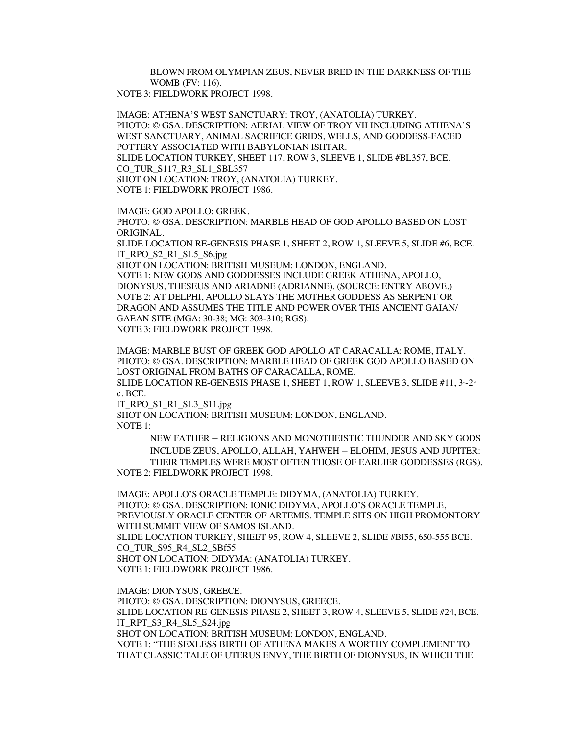BLOWN FROM OLYMPIAN ZEUS, NEVER BRED IN THE DARKNESS OF THE WOMB (FV: 116). NOTE 3: FIELDWORK PROJECT 1998.

IMAGE: ATHENA'S WEST SANCTUARY: TROY, (ANATOLIA) TURKEY. PHOTO: © GSA. DESCRIPTION: AERIAL VIEW OF TROY VII INCLUDING ATHENA'S WEST SANCTUARY, ANIMAL SACRIFICE GRIDS, WELLS, AND GODDESS-FACED POTTERY ASSOCIATED WITH BABYLONIAN ISHTAR. SLIDE LOCATION TURKEY, SHEET 117, ROW 3, SLEEVE 1, SLIDE #BL357, BCE. CO\_TUR\_S117\_R3\_SL1\_SBL357 SHOT ON LOCATION: TROY, (ANATOLIA) TURKEY. NOTE 1: FIELDWORK PROJECT 1986.

IMAGE: GOD APOLLO: GREEK.

PHOTO: © GSA. DESCRIPTION: MARBLE HEAD OF GOD APOLLO BASED ON LOST ORIGINAL.

SLIDE LOCATION RE-GENESIS PHASE 1, SHEET 2, ROW 1, SLEEVE 5, SLIDE #6, BCE. IT\_RPO\_S2\_R1\_SL5\_S6.jpg

SHOT ON LOCATION: BRITISH MUSEUM: LONDON, ENGLAND. NOTE 1: NEW GODS AND GODDESSES INCLUDE GREEK ATHENA, APOLLO, DIONYSUS, THESEUS AND ARIADNE (ADRIANNE). (SOURCE: ENTRY ABOVE.) NOTE 2: AT DELPHI, APOLLO SLAYS THE MOTHER GODDESS AS SERPENT OR DRAGON AND ASSUMES THE TITLE AND POWER OVER THIS ANCIENT GAIAN/ GAEAN SITE **(**MGA: 30-38; MG: 303-310; RGS). NOTE 3: FIELDWORK PROJECT 1998.

IMAGE: MARBLE BUST OF GREEK GOD APOLLO AT CARACALLA: ROME, ITALY. PHOTO: © GSA. DESCRIPTION: MARBLE HEAD OF GREEK GOD APOLLO BASED ON LOST ORIGINAL FROM BATHS OF CARACALLA, ROME.

SLIDE LOCATION RE-GENESIS PHASE 1, SHEET 1, ROW 1, SLEEVE 3, SLIDE #11,  $3^{n-2^{n}}$ c. BCE.

IT\_RPO\_S1\_R1\_SL3\_S11.jpg

SHOT ON LOCATION: BRITISH MUSEUM: LONDON, ENGLAND. NOTE 1:

> NEW FATHER – RELIGIONS AND MONOTHEISTIC THUNDER AND SKY GODS INCLUDE ZEUS, APOLLO, ALLAH, YAHWEH – ELOHIM, JESUS AND JUPITER: THEIR TEMPLES WERE MOST OFTEN THOSE OF EARLIER GODDESSES (RGS).

NOTE 2: FIELDWORK PROJECT 1998.

IMAGE: APOLLO'S ORACLE TEMPLE: DIDYMA, (ANATOLIA) TURKEY. PHOTO: © GSA. DESCRIPTION: IONIC DIDYMA, APOLLO'S ORACLE TEMPLE, PREVIOUSLY ORACLE CENTER OF ARTEMIS. TEMPLE SITS ON HIGH PROMONTORY WITH SUMMIT VIEW OF SAMOS ISLAND. SLIDE LOCATION TURKEY, SHEET 95, ROW 4, SLEEVE 2, SLIDE #Bf55, 650-555 BCE. CO\_TUR\_S95\_R4\_SL2\_SBf55 SHOT ON LOCATION: DIDYMA: (ANATOLIA) TURKEY. NOTE 1: FIELDWORK PROJECT 1986.

IMAGE: DIONYSUS, GREECE. PHOTO: © GSA. DESCRIPTION: DIONYSUS, GREECE. SLIDE LOCATION RE-GENESIS PHASE 2, SHEET 3, ROW 4, SLEEVE 5, SLIDE #24, BCE. IT\_RPT\_S3\_R4\_SL5\_S24.jpg SHOT ON LOCATION: BRITISH MUSEUM: LONDON, ENGLAND. NOTE 1: "THE SEXLESS BIRTH OF ATHENA MAKES A WORTHY COMPLEMENT TO THAT CLASSIC TALE OF UTERUS ENVY, THE BIRTH OF DIONYSUS, IN WHICH THE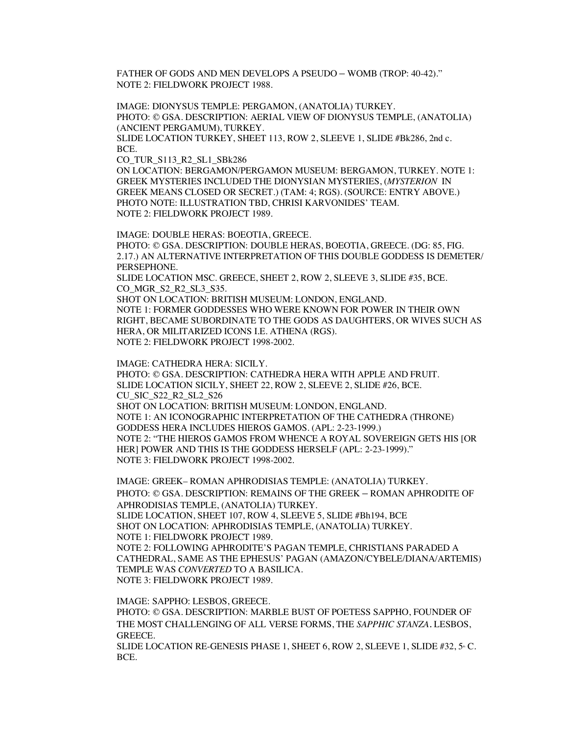FATHER OF GODS AND MEN DEVELOPS A PSEUDO – WOMB (TROP: 40-42)." NOTE 2: FIELDWORK PROJECT 1988.

IMAGE: DIONYSUS TEMPLE: PERGAMON, (ANATOLIA) TURKEY. PHOTO: © GSA. DESCRIPTION: AERIAL VIEW OF DIONYSUS TEMPLE, (ANATOLIA) (ANCIENT PERGAMUM), TURKEY. SLIDE LOCATION TURKEY, SHEET 113, ROW 2, SLEEVE 1, SLIDE #Bk286, 2nd c.

BCE.

CO\_TUR\_S113\_R2\_SL1\_SBk286

ON LOCATION: BERGAMON/PERGAMON MUSEUM: BERGAMON, TURKEY. NOTE 1: GREEK MYSTERIES INCLUDED THE DIONYSIAN MYSTERIES, (*MYSTERION* IN GREEK MEANS CLOSED OR SECRET.) (TAM: 4; RGS). (SOURCE: ENTRY ABOVE.) PHOTO NOTE: ILLUSTRATION TBD, CHRISI KARVONIDES' TEAM. NOTE 2: FIELDWORK PROJECT 1989.

IMAGE: DOUBLE HERAS: BOEOTIA, GREECE.

PHOTO: © GSA. DESCRIPTION: DOUBLE HERAS, BOEOTIA, GREECE. (DG: 85, FIG. 2.17.) AN ALTERNATIVE INTERPRETATION OF THIS DOUBLE GODDESS IS DEMETER/ PERSEPHONE.

SLIDE LOCATION MSC. GREECE, SHEET 2, ROW 2, SLEEVE 3, SLIDE #35, BCE. CO\_MGR\_S2\_R2\_SL3\_S35.

SHOT ON LOCATION: BRITISH MUSEUM: LONDON, ENGLAND. NOTE 1: FORMER GODDESSES WHO WERE KNOWN FOR POWER IN THEIR OWN RIGHT, BECAME SUBORDINATE TO THE GODS AS DAUGHTERS, OR WIVES SUCH AS HERA, OR MILITARIZED ICONS I.E. ATHENA (RGS). NOTE 2: FIELDWORK PROJECT 1998-2002.

IMAGE: CATHEDRA HERA: SICILY. PHOTO: © GSA. DESCRIPTION: CATHEDRA HERA WITH APPLE AND FRUIT. SLIDE LOCATION SICILY, SHEET 22, ROW 2, SLEEVE 2, SLIDE #26, BCE. CU\_SIC\_S22\_R2\_SL2\_S26 SHOT ON LOCATION: BRITISH MUSEUM: LONDON, ENGLAND. NOTE 1: AN ICONOGRAPHIC INTERPRETATION OF THE CATHEDRA (THRONE) GODDESS HERA INCLUDES HIEROS GAMOS. (APL: 2-23-1999.) NOTE 2: "THE HIEROS GAMOS FROM WHENCE A ROYAL SOVEREIGN GETS HIS [OR HER] POWER AND THIS IS THE GODDESS HERSELF (APL: 2-23-1999)." NOTE 3: FIELDWORK PROJECT 1998-2002.

IMAGE: GREEK– ROMAN APHRODISIAS TEMPLE: (ANATOLIA) TURKEY. PHOTO: © GSA. DESCRIPTION: REMAINS OF THE GREEK – ROMAN APHRODITE OF APHRODISIAS TEMPLE, (ANATOLIA) TURKEY. SLIDE LOCATION, SHEET 107, ROW 4, SLEEVE 5, SLIDE #Bh194, BCE SHOT ON LOCATION: APHRODISIAS TEMPLE, (ANATOLIA) TURKEY. NOTE 1: FIELDWORK PROJECT 1989. NOTE 2: FOLLOWING APHRODITE'S PAGAN TEMPLE, CHRISTIANS PARADED A CATHEDRAL, SAME AS THE EPHESUS' PAGAN (AMAZON/CYBELE/DIANA/ARTEMIS) TEMPLE WAS *CONVERTED* TO A BASILICA. NOTE 3: FIELDWORK PROJECT 1989.

IMAGE: SAPPHO: LESBOS, GREECE.

PHOTO: © GSA. DESCRIPTION: MARBLE BUST OF POETESS SAPPHO, FOUNDER OF THE MOST CHALLENGING OF ALL VERSE FORMS, THE *SAPPHIC STANZA.* LESBOS, GREECE.

SLIDE LOCATION RE-GENESIS PHASE 1, SHEET 6, ROW 2, SLEEVE 1, SLIDE #32, 5 °C. BCE.